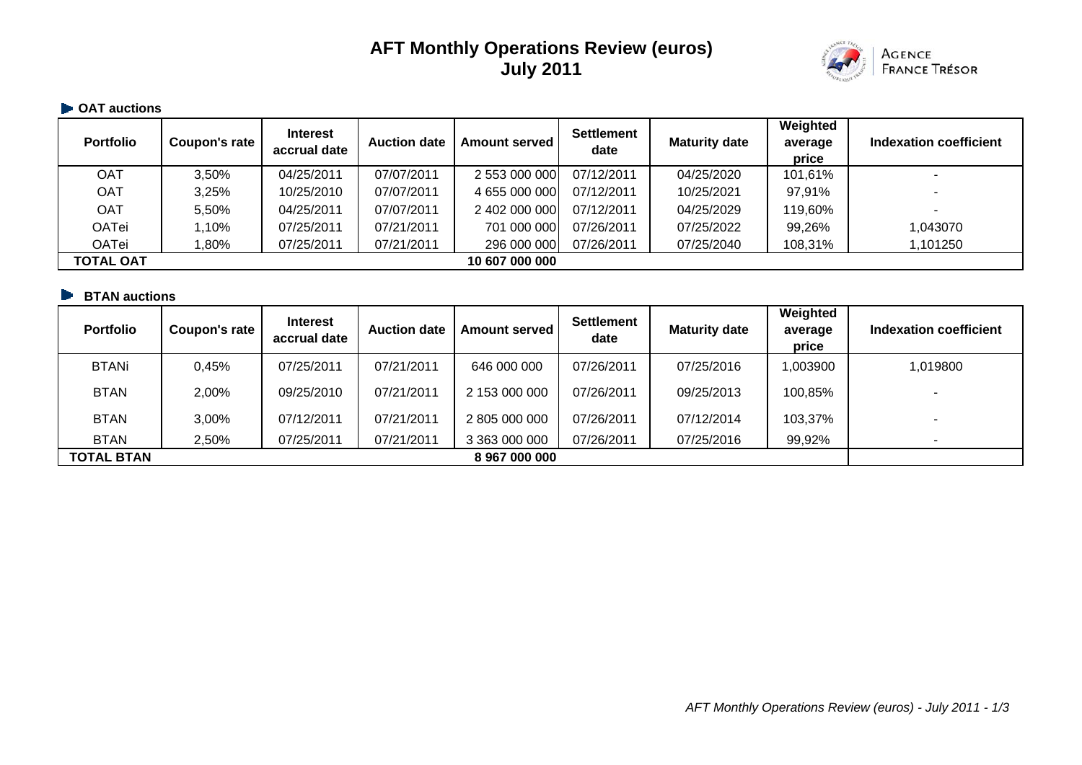# **AFT Monthly Operations Review (euros) July 2011**



# $\blacktriangleright$  **OAT auctions**

| <b>Portfolio</b> | Coupon's rate | <b>Interest</b><br>accrual date | <b>Auction date</b> | <b>Amount served</b> | <b>Settlement</b><br>date | <b>Maturity date</b> | Weighted<br>average<br>price | Indexation coefficient |
|------------------|---------------|---------------------------------|---------------------|----------------------|---------------------------|----------------------|------------------------------|------------------------|
| <b>OAT</b>       | 3.50%         | 04/25/2011                      | 07/07/2011          | 2 553 000 000        | 07/12/2011                | 04/25/2020           | 101,61%                      |                        |
| <b>OAT</b>       | 3,25%         | 10/25/2010                      | 07/07/2011          | 4 655 000 000        | 07/12/2011                | 10/25/2021           | 97,91%                       |                        |
| <b>OAT</b>       | 5,50%         | 04/25/2011                      | 07/07/2011          | 2 402 000 000        | 07/12/2011                | 04/25/2029           | 119,60%                      |                        |
| OATei            | 1,10%         | 07/25/2011                      | 07/21/2011          | 701 000 000          | 07/26/2011                | 07/25/2022           | 99,26%                       | 1,043070               |
| <b>OATei</b>     | 80%,          | 07/25/2011                      | 07/21/2011          | 296 000 000          | 07/26/2011                | 07/25/2040           | 108,31%                      | 1,101250               |
| <b>TOTAL OAT</b> |               |                                 |                     | 10 607 000 000       |                           |                      |                              |                        |

### **BTAN auctions**

| <b>Portfolio</b>  | Coupon's rate | <b>Interest</b><br>accrual date | <b>Auction date</b> | <b>Amount served</b> | <b>Settlement</b><br>date | <b>Maturity date</b> | Weighted<br>average<br>price | Indexation coefficient |
|-------------------|---------------|---------------------------------|---------------------|----------------------|---------------------------|----------------------|------------------------------|------------------------|
| <b>BTANi</b>      | 0.45%         | 07/25/2011                      | 07/21/2011          | 646 000 000          | 07/26/2011                | 07/25/2016           | 1,003900                     | 1,019800               |
| <b>BTAN</b>       | 2,00%         | 09/25/2010                      | 07/21/2011          | 2 153 000 000        | 07/26/2011                | 09/25/2013           | 100,85%                      |                        |
| <b>BTAN</b>       | 3,00%         | 07/12/2011                      | 07/21/2011          | 2 805 000 000        | 07/26/2011                | 07/12/2014           | 103,37%                      |                        |
| <b>BTAN</b>       | 2,50%         | 07/25/2011                      | 07/21/2011          | 3 363 000 000        | 07/26/2011                | 07/25/2016           | 99,92%                       |                        |
| <b>TOTAL BTAN</b> |               |                                 |                     | 8 967 000 000        |                           |                      |                              |                        |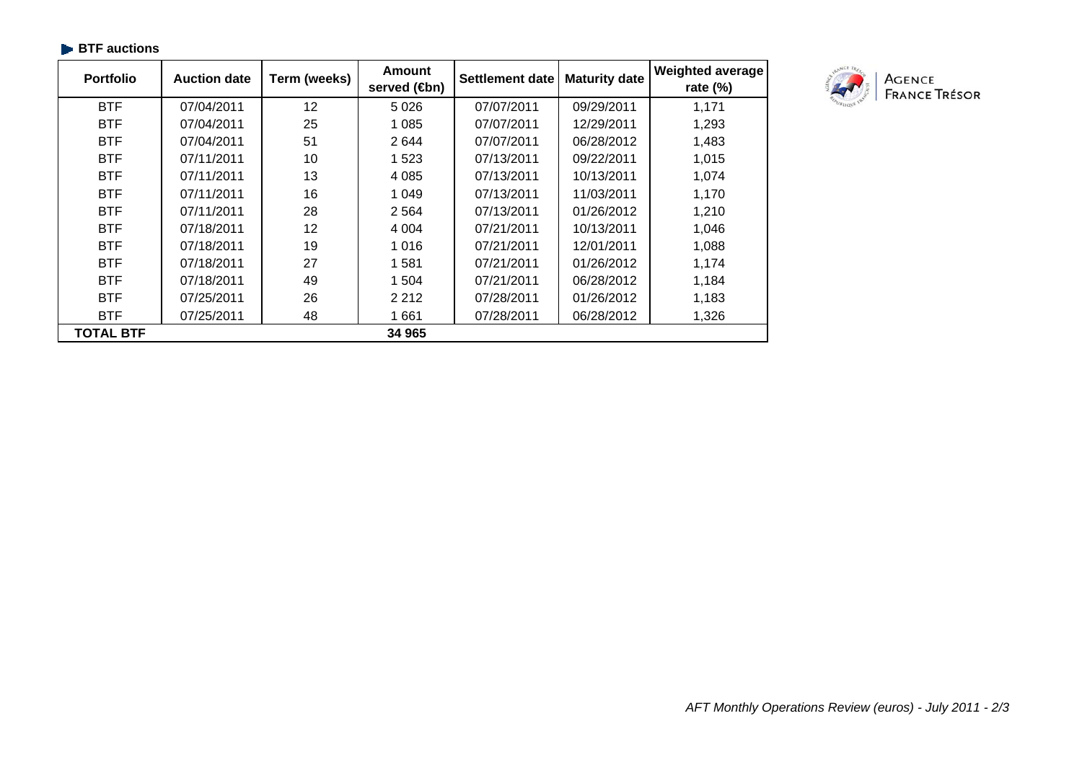| <b>Portfolio</b> | <b>Auction date</b> | Term (weeks) | <b>Amount</b><br>served ( <b>⊕</b> n) | <b>Settlement date</b> | <b>Maturity date</b> | <b>Weighted average</b><br>rate $(\%)$ |
|------------------|---------------------|--------------|---------------------------------------|------------------------|----------------------|----------------------------------------|
| <b>BTF</b>       | 07/04/2011          | 12           | 5 0 2 6                               | 07/07/2011             | 09/29/2011           | 1,171                                  |
| <b>BTF</b>       | 07/04/2011          | 25           | 1 0 8 5                               | 07/07/2011             | 12/29/2011           | 1,293                                  |
| <b>BTF</b>       | 07/04/2011          | 51           | 2644                                  | 07/07/2011             | 06/28/2012           | 1,483                                  |
| <b>BTF</b>       | 07/11/2011          | 10           | 1 5 2 3                               | 07/13/2011             | 09/22/2011           | 1,015                                  |
| <b>BTF</b>       | 07/11/2011          | 13           | 4 0 8 5                               | 07/13/2011             | 10/13/2011           | 1,074                                  |
| <b>BTF</b>       | 07/11/2011          | 16           | 1 0 4 9                               | 07/13/2011             | 11/03/2011           | 1,170                                  |
| <b>BTF</b>       | 07/11/2011          | 28           | 2564                                  | 07/13/2011             | 01/26/2012           | 1,210                                  |
| <b>BTF</b>       | 07/18/2011          | 12           | 4 0 0 4                               | 07/21/2011             | 10/13/2011           | 1,046                                  |
| <b>BTF</b>       | 07/18/2011          | 19           | 1 0 1 6                               | 07/21/2011             | 12/01/2011           | 1,088                                  |
| <b>BTF</b>       | 07/18/2011          | 27           | 1581                                  | 07/21/2011             | 01/26/2012           | 1,174                                  |
| <b>BTF</b>       | 07/18/2011          | 49           | 1 504                                 | 07/21/2011             | 06/28/2012           | 1,184                                  |
| <b>BTF</b>       | 07/25/2011          | 26           | 2 2 1 2                               | 07/28/2011             | 01/26/2012           | 1,183                                  |
| <b>BTF</b>       | 07/25/2011          | 48           | 1661                                  | 07/28/2011             | 06/28/2012           | 1,326                                  |
| <b>TOTAL BTF</b> |                     |              | 34 965                                |                        |                      |                                        |

#### **BTF auctions**